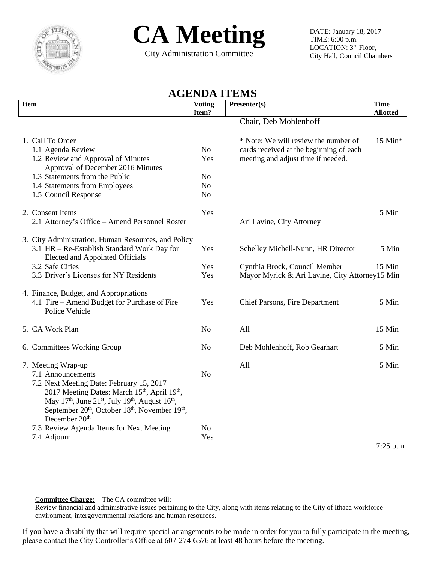



City Administration Committee

DATE: January 18, 2017 TIME: 6:00 p.m. LOCATION: 3rd Floor, City Hall, Council Chambers

## **AGENDA ITEMS**

| <b>Item</b>                                                                                                                                                               | <b>Voting</b>                    | Presenter(s)                                   | Time        |
|---------------------------------------------------------------------------------------------------------------------------------------------------------------------------|----------------------------------|------------------------------------------------|-------------|
|                                                                                                                                                                           | Item?                            | Chair, Deb Mohlenhoff                          | Allotted    |
|                                                                                                                                                                           |                                  |                                                |             |
| 1. Call To Order                                                                                                                                                          |                                  | * Note: We will review the number of           | $15$ Min*   |
| 1.1 Agenda Review                                                                                                                                                         | No                               | cards received at the beginning of each        |             |
| 1.2 Review and Approval of Minutes                                                                                                                                        | Yes                              | meeting and adjust time if needed.             |             |
| Approval of December 2016 Minutes                                                                                                                                         |                                  |                                                |             |
| 1.3 Statements from the Public<br>1.4 Statements from Employees                                                                                                           | N <sub>o</sub><br>N <sub>o</sub> |                                                |             |
| 1.5 Council Response                                                                                                                                                      | N <sub>o</sub>                   |                                                |             |
|                                                                                                                                                                           |                                  |                                                |             |
| 2. Consent Items                                                                                                                                                          | Yes                              |                                                | 5 Min       |
| 2.1 Attorney's Office - Amend Personnel Roster                                                                                                                            |                                  | Ari Lavine, City Attorney                      |             |
| 3. City Administration, Human Resources, and Policy                                                                                                                       |                                  |                                                |             |
| 3.1 HR - Re-Establish Standard Work Day for                                                                                                                               | Yes                              | Schelley Michell-Nunn, HR Director             | 5 Min       |
| Elected and Appointed Officials                                                                                                                                           |                                  |                                                |             |
| 3.2 Safe Cities                                                                                                                                                           | Yes                              | Cynthia Brock, Council Member                  | 15 Min      |
| 3.3 Driver's Licenses for NY Residents                                                                                                                                    | Yes                              | Mayor Myrick & Ari Lavine, City Attorney15 Min |             |
| 4. Finance, Budget, and Appropriations                                                                                                                                    |                                  |                                                |             |
| 4.1 Fire – Amend Budget for Purchase of Fire                                                                                                                              | Yes                              | Chief Parsons, Fire Department                 | 5 Min       |
| Police Vehicle                                                                                                                                                            |                                  |                                                |             |
| 5. CA Work Plan                                                                                                                                                           | N <sub>o</sub>                   | All                                            | 15 Min      |
|                                                                                                                                                                           |                                  |                                                |             |
| 6. Committees Working Group                                                                                                                                               | N <sub>o</sub>                   | Deb Mohlenhoff, Rob Gearhart                   | 5 Min       |
| 7. Meeting Wrap-up                                                                                                                                                        |                                  | All                                            | 5 Min       |
| 7.1 Announcements                                                                                                                                                         | N <sub>o</sub>                   |                                                |             |
| 7.2 Next Meeting Date: February 15, 2017                                                                                                                                  |                                  |                                                |             |
| 2017 Meeting Dates: March 15 <sup>th</sup> , April 19 <sup>th</sup> ,<br>May 17 <sup>th</sup> , June 21 <sup>st</sup> , July 19 <sup>th</sup> , August 16 <sup>th</sup> , |                                  |                                                |             |
| September 20 <sup>th</sup> , October 18 <sup>th</sup> , November 19 <sup>th</sup> ,                                                                                       |                                  |                                                |             |
| December 20 <sup>th</sup>                                                                                                                                                 |                                  |                                                |             |
| 7.3 Review Agenda Items for Next Meeting                                                                                                                                  | N <sub>o</sub>                   |                                                |             |
| 7.4 Adjourn                                                                                                                                                               | Yes                              |                                                |             |
|                                                                                                                                                                           |                                  |                                                | $7:25$ p.m. |

C**ommittee Charge:** The CA committee will:

Review financial and administrative issues pertaining to the City, along with items relating to the City of Ithaca workforce environment, intergovernmental relations and human resources.

If you have a disability that will require special arrangements to be made in order for you to fully participate in the meeting, please contact the City Controller's Office at 607-274-6576 at least 48 hours before the meeting.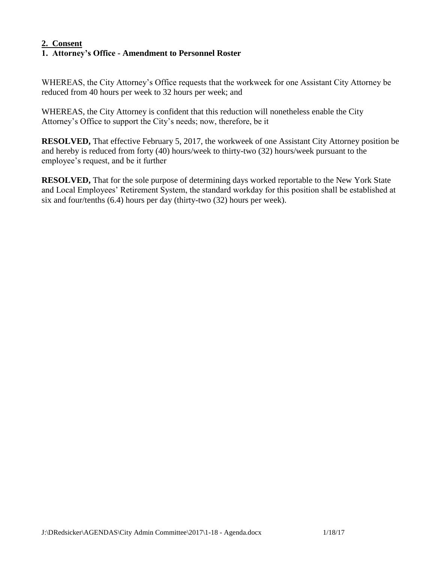### **2. Consent 1. Attorney's Office - Amendment to Personnel Roster**

WHEREAS, the City Attorney's Office requests that the workweek for one Assistant City Attorney be reduced from 40 hours per week to 32 hours per week; and

WHEREAS, the City Attorney is confident that this reduction will nonetheless enable the City Attorney's Office to support the City's needs; now, therefore, be it

**RESOLVED,** That effective February 5, 2017, the workweek of one Assistant City Attorney position be and hereby is reduced from forty (40) hours/week to thirty-two (32) hours/week pursuant to the employee's request, and be it further

**RESOLVED,** That for the sole purpose of determining days worked reportable to the New York State and Local Employees' Retirement System, the standard workday for this position shall be established at six and four/tenths (6.4) hours per day (thirty-two (32) hours per week).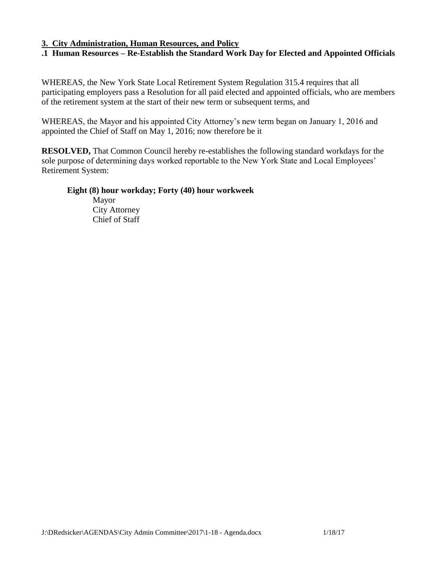#### **3. City Administration, Human Resources, and Policy**

# **.1 Human Resources – Re-Establish the Standard Work Day for Elected and Appointed Officials**

WHEREAS, the New York State Local Retirement System Regulation 315.4 requires that all participating employers pass a Resolution for all paid elected and appointed officials, who are members of the retirement system at the start of their new term or subsequent terms, and

WHEREAS, the Mayor and his appointed City Attorney's new term began on January 1, 2016 and appointed the Chief of Staff on May 1, 2016; now therefore be it

**RESOLVED,** That Common Council hereby re-establishes the following standard workdays for the sole purpose of determining days worked reportable to the New York State and Local Employees' Retirement System:

### **Eight (8) hour workday; Forty (40) hour workweek**

Mayor City Attorney Chief of Staff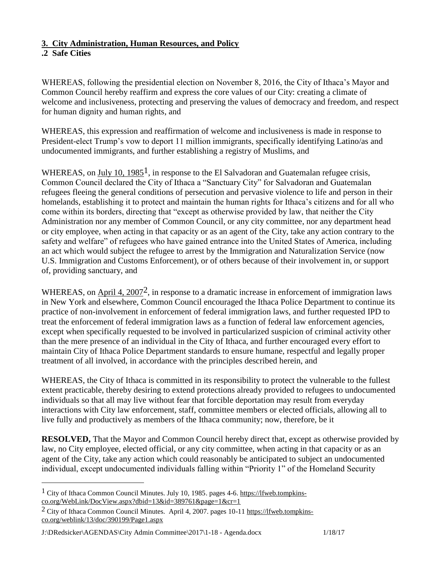## **3. City Administration, Human Resources, and Policy**

## **.2 Safe Cities**

 $\overline{a}$ 

WHEREAS, following the presidential election on November 8, 2016, the City of Ithaca's Mayor and Common Council hereby reaffirm and express the core values of our City: creating a climate of welcome and inclusiveness, protecting and preserving the values of democracy and freedom, and respect for human dignity and human rights, and

WHEREAS, this expression and reaffirmation of welcome and inclusiveness is made in response to President-elect Trump's vow to deport 11 million immigrants, specifically identifying Latino/as and undocumented immigrants, and further establishing a registry of Muslims, and

WHEREAS, on  $\text{July } 10, 1985^1$ , in response to the El Salvadoran and Guatemalan refugee crisis, Common Council declared the City of Ithaca a "Sanctuary City" for Salvadoran and Guatemalan refugees fleeing the general conditions of persecution and pervasive violence to life and person in their homelands, establishing it to protect and maintain the human rights for Ithaca's citizens and for all who come within its borders, directing that "except as otherwise provided by law, that neither the City Administration nor any member of Common Council, or any city committee, nor any department head or city employee, when acting in that capacity or as an agent of the City, take any action contrary to the safety and welfare" of refugees who have gained entrance into the United States of America, including an act which would subject the refugee to arrest by the Immigration and Naturalization Service (now U.S. Immigration and Customs Enforcement), or of others because of their involvement in, or support of, providing sanctuary, and

WHEREAS, on April 4, 2007<sup>2</sup>, in response to a dramatic increase in enforcement of immigration laws in New York and elsewhere, Common Council encouraged the Ithaca Police Department to continue its practice of non-involvement in enforcement of federal immigration laws, and further requested IPD to treat the enforcement of federal immigration laws as a function of federal law enforcement agencies, except when specifically requested to be involved in particularized suspicion of criminal activity other than the mere presence of an individual in the City of Ithaca, and further encouraged every effort to maintain City of Ithaca Police Department standards to ensure humane, respectful and legally proper treatment of all involved, in accordance with the principles described herein, and

WHEREAS, the City of Ithaca is committed in its responsibility to protect the vulnerable to the fullest extent practicable, thereby desiring to extend protections already provided to refugees to undocumented individuals so that all may live without fear that forcible deportation may result from everyday interactions with City law enforcement, staff, committee members or elected officials, allowing all to live fully and productively as members of the Ithaca community; now, therefore, be it

**RESOLVED,** That the Mayor and Common Council hereby direct that, except as otherwise provided by law, no City employee, elected official, or any city committee, when acting in that capacity or as an agent of the City, take any action which could reasonably be anticipated to subject an undocumented individual, except undocumented individuals falling within "Priority 1" of the Homeland Security

J:\DRedsicker\AGENDAS\City Admin Committee\2017\1-18 - Agenda.docx 1/18/17

 $1$  City of Ithaca Common Council Minutes. July 10, 1985. pages 4-6. [https://lfweb.tompkins](https://lfweb.tompkins-co.org/WebLink/DocView.aspx?dbid=13&id=389761&page=1&cr=1)[co.org/WebLink/DocView.aspx?dbid=13&id=389761&page=1&cr=1](https://lfweb.tompkins-co.org/WebLink/DocView.aspx?dbid=13&id=389761&page=1&cr=1)

<sup>&</sup>lt;sup>2</sup> City of Ithaca Common Council Minutes. April 4, 2007. pages 10-1[1 https://lfweb.tompkins](https://lfweb.tompkins-co.org/weblink/13/doc/390199/Page1.aspx)[co.org/weblink/13/doc/390199/Page1.aspx](https://lfweb.tompkins-co.org/weblink/13/doc/390199/Page1.aspx)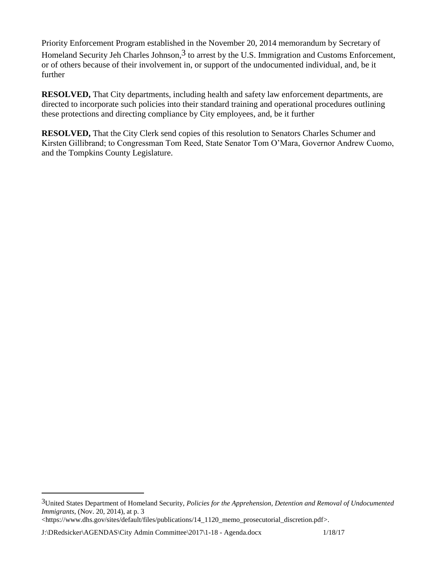Priority Enforcement Program established in the November 20, 2014 memorandum by Secretary of Homeland Security Jeh Charles Johnson,  $3$  to arrest by the U.S. Immigration and Customs Enforcement, or of others because of their involvement in, or support of the undocumented individual, and, be it further

**RESOLVED,** That City departments, including health and safety law enforcement departments, are directed to incorporate such policies into their standard training and operational procedures outlining these protections and directing compliance by City employees, and, be it further

**RESOLVED,** That the City Clerk send copies of this resolution to Senators Charles Schumer and Kirsten Gillibrand; to Congressman Tom Reed, State Senator Tom O'Mara, Governor Andrew Cuomo, and the Tompkins County Legislature.

J:\DRedsicker\AGENDAS\City Admin Committee\2017\1-18 - Agenda.docx 1/18/17

 $\overline{a}$ 

<sup>3</sup>United States Department of Homeland Security, *Policies for the Apprehension, Detention and Removal of Undocumented Immigrants*, (Nov. 20, 2014), at p. 3

<sup>&</sup>lt;https://www.dhs.gov/sites/default/files/publications/14\_1120\_memo\_prosecutorial\_discretion.pdf>.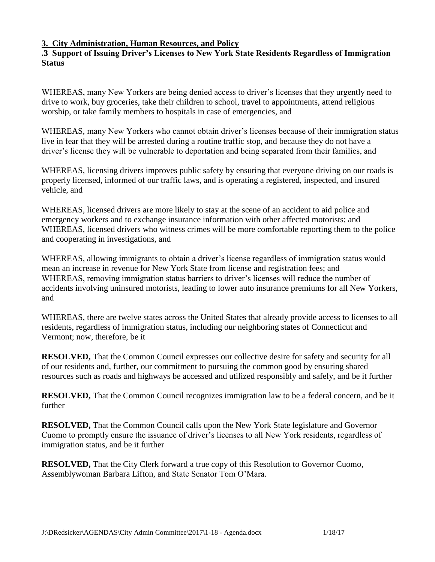### **3. City Administration, Human Resources, and Policy**

### **.3 Support of Issuing Driver's Licenses to New York State Residents Regardless of Immigration Status**

WHEREAS, many New Yorkers are being denied access to driver's licenses that they urgently need to drive to work, buy groceries, take their children to school, travel to appointments, attend religious worship, or take family members to hospitals in case of emergencies, and

WHEREAS, many New Yorkers who cannot obtain driver's licenses because of their immigration status live in fear that they will be arrested during a routine traffic stop, and because they do not have a driver's license they will be vulnerable to deportation and being separated from their families, and

WHEREAS, licensing drivers improves public safety by ensuring that everyone driving on our roads is properly licensed, informed of our traffic laws, and is operating a registered, inspected, and insured vehicle, and

WHEREAS, licensed drivers are more likely to stay at the scene of an accident to aid police and emergency workers and to exchange insurance information with other affected motorists; and WHEREAS, licensed drivers who witness crimes will be more comfortable reporting them to the police and cooperating in investigations, and

WHEREAS, allowing immigrants to obtain a driver's license regardless of immigration status would mean an increase in revenue for New York State from license and registration fees; and WHEREAS, removing immigration status barriers to driver's licenses will reduce the number of accidents involving uninsured motorists, leading to lower auto insurance premiums for all New Yorkers, and

WHEREAS, there are twelve states across the United States that already provide access to licenses to all residents, regardless of immigration status, including our neighboring states of Connecticut and Vermont; now, therefore, be it

**RESOLVED,** That the Common Council expresses our collective desire for safety and security for all of our residents and, further, our commitment to pursuing the common good by ensuring shared resources such as roads and highways be accessed and utilized responsibly and safely, and be it further

**RESOLVED,** That the Common Council recognizes immigration law to be a federal concern, and be it further

**RESOLVED,** That the Common Council calls upon the New York State legislature and Governor Cuomo to promptly ensure the issuance of driver's licenses to all New York residents, regardless of immigration status, and be it further

**RESOLVED,** That the City Clerk forward a true copy of this Resolution to Governor Cuomo, Assemblywoman Barbara Lifton, and State Senator Tom O'Mara.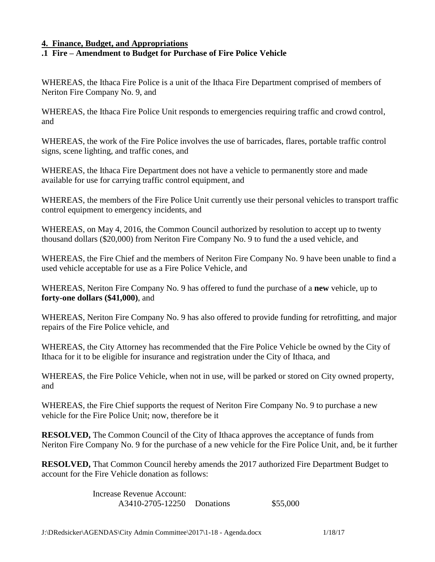#### **4. Finance, Budget, and Appropriations**

### **.1 Fire – Amendment to Budget for Purchase of Fire Police Vehicle**

WHEREAS, the Ithaca Fire Police is a unit of the Ithaca Fire Department comprised of members of Neriton Fire Company No. 9, and

WHEREAS, the Ithaca Fire Police Unit responds to emergencies requiring traffic and crowd control, and

WHEREAS, the work of the Fire Police involves the use of barricades, flares, portable traffic control signs, scene lighting, and traffic cones, and

WHEREAS, the Ithaca Fire Department does not have a vehicle to permanently store and made available for use for carrying traffic control equipment, and

WHEREAS, the members of the Fire Police Unit currently use their personal vehicles to transport traffic control equipment to emergency incidents, and

WHEREAS, on May 4, 2016, the Common Council authorized by resolution to accept up to twenty thousand dollars (\$20,000) from Neriton Fire Company No. 9 to fund the a used vehicle, and

WHEREAS, the Fire Chief and the members of Neriton Fire Company No. 9 have been unable to find a used vehicle acceptable for use as a Fire Police Vehicle, and

WHEREAS, Neriton Fire Company No. 9 has offered to fund the purchase of a **new** vehicle, up to **forty-one dollars (\$41,000)**, and

WHEREAS, Neriton Fire Company No. 9 has also offered to provide funding for retrofitting, and major repairs of the Fire Police vehicle, and

WHEREAS, the City Attorney has recommended that the Fire Police Vehicle be owned by the City of Ithaca for it to be eligible for insurance and registration under the City of Ithaca, and

WHEREAS, the Fire Police Vehicle, when not in use, will be parked or stored on City owned property, and

WHEREAS, the Fire Chief supports the request of Neriton Fire Company No. 9 to purchase a new vehicle for the Fire Police Unit; now, therefore be it

**RESOLVED,** The Common Council of the City of Ithaca approves the acceptance of funds from Neriton Fire Company No. 9 for the purchase of a new vehicle for the Fire Police Unit, and, be it further

**RESOLVED,** That Common Council hereby amends the 2017 authorized Fire Department Budget to account for the Fire Vehicle donation as follows:

> Increase Revenue Account: A3410-2705-12250 Donations \$55,000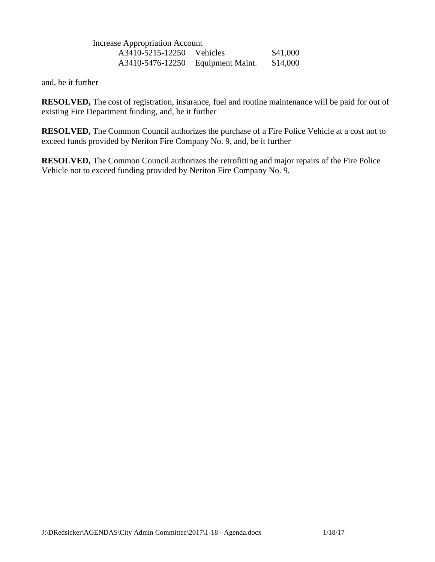Increase Appropriation Account A3410-5215-12250 Vehicles \$41,000 A3410-5476-12250 Equipment Maint. \$14,000

and, be it further

**RESOLVED,** The cost of registration, insurance, fuel and routine maintenance will be paid for out of existing Fire Department funding, and, be it further

**RESOLVED,** The Common Council authorizes the purchase of a Fire Police Vehicle at a cost not to exceed funds provided by Neriton Fire Company No. 9, and, be it further

**RESOLVED,** The Common Council authorizes the retrofitting and major repairs of the Fire Police Vehicle not to exceed funding provided by Neriton Fire Company No. 9.